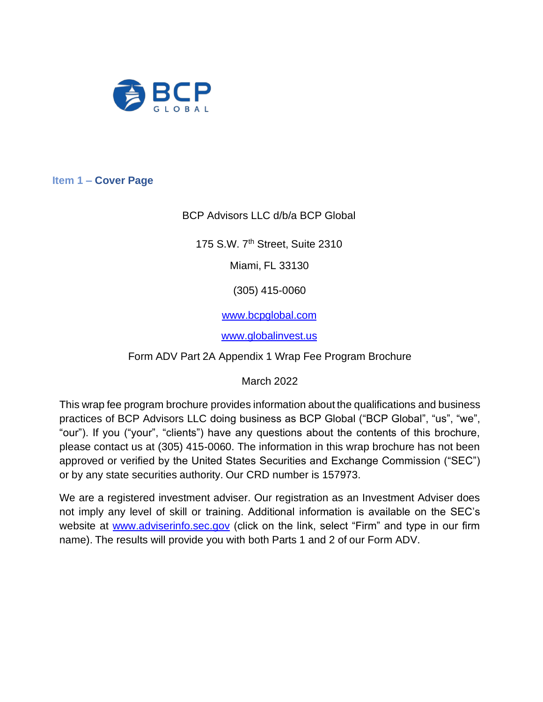

<span id="page-0-0"></span>**Item 1 – Cover Page**

BCP Advisors LLC d/b/a BCP Global

175 S.W. 7<sup>th</sup> Street, Suite 2310

Miami, FL 33130

(305) 415-0060

[www.bcpglobal.com](http://www.bcpglobal.com/)

[www.globalinvest.us](http://www.globalinvest.us/)

Form ADV Part 2A Appendix 1 Wrap Fee Program Brochure

March 2022

This wrap fee program brochure provides information about the qualifications and business practices of BCP Advisors LLC doing business as BCP Global ("BCP Global", "us", "we", "our"). If you ("your", "clients") have any questions about the contents of this brochure, please contact us at (305) 415-0060. The information in this wrap brochure has not been approved or verified by the United States Securities and Exchange Commission ("SEC") or by any state securities authority. Our CRD number is 157973.

We are a registered investment adviser. Our registration as an Investment Adviser does not imply any level of skill or training. Additional information is available on the SEC's website at [www.adviserinfo.sec.gov](http://www.adviserinfo.sec.gov/) (click on the link, select "Firm" and type in our firm name). The results will provide you with both Parts 1 and 2 of our Form ADV.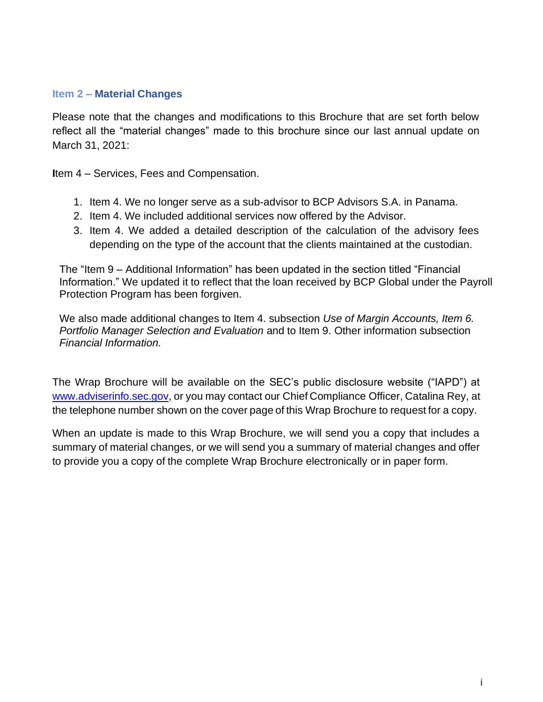#### <span id="page-1-0"></span>**Item 2 – Material Changes**

Please note that the changes and modifications to this Brochure that are set forth below reflect all the "material changes" made to this brochure since our last annual update on March 31, 2021:

**I**tem 4 – Services, Fees and Compensation.

- 1. Item 4. We no longer serve as a sub-advisor to BCP Advisors S.A. in Panama.
- 2. Item 4. We included additional services now offered by the Advisor.
- 3. Item 4. We added a detailed description of the calculation of the advisory fees depending on the type of the account that the clients maintained at the custodian.

The "Item 9 – Additional Information" has been updated in the section titled "Financial Information." We updated it to reflect that the loan received by BCP Global under the Payroll Protection Program has been forgiven.

We also made additional changes to Item 4. subsection *Use of Margin Accounts, Item 6. Portfolio Manager Selection and Evaluation* and to Item 9. Other information subsection *Financial Information.* 

The Wrap Brochure will be available on the SEC's public disclosure website ("IAPD") at [www.adviserinfo.sec.gov,](http://www.adviserinfo.sec.gov/) or you may contact our Chief Compliance Officer, Catalina Rey, at the telephone number shown on the cover page of this Wrap Brochure to request for a copy.

When an update is made to this Wrap Brochure, we will send you a copy that includes a summary of material changes, or we will send you a summary of material changes and offer to provide you a copy of the complete Wrap Brochure electronically or in paper form.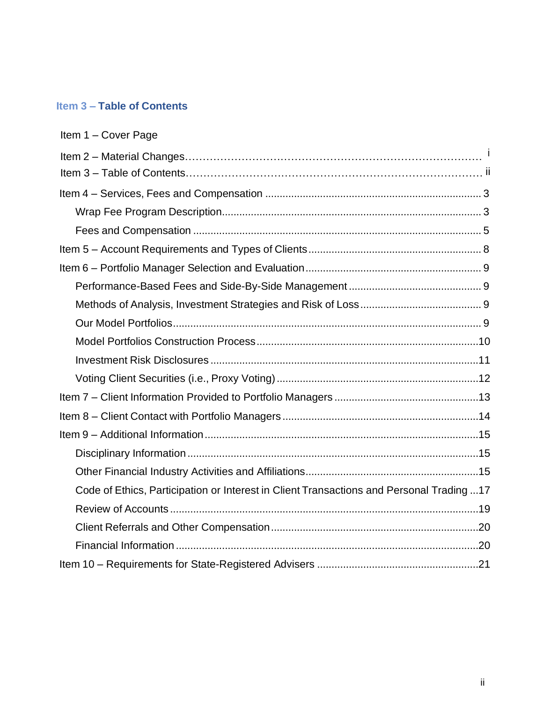## <span id="page-2-0"></span>**Item 3 – Table of Contents**

| Item 1 - Cover Page                                                                     |  |
|-----------------------------------------------------------------------------------------|--|
|                                                                                         |  |
|                                                                                         |  |
|                                                                                         |  |
|                                                                                         |  |
|                                                                                         |  |
|                                                                                         |  |
|                                                                                         |  |
|                                                                                         |  |
|                                                                                         |  |
|                                                                                         |  |
|                                                                                         |  |
|                                                                                         |  |
|                                                                                         |  |
|                                                                                         |  |
|                                                                                         |  |
|                                                                                         |  |
|                                                                                         |  |
|                                                                                         |  |
| Code of Ethics, Participation or Interest in Client Transactions and Personal Trading17 |  |
|                                                                                         |  |
|                                                                                         |  |
|                                                                                         |  |
|                                                                                         |  |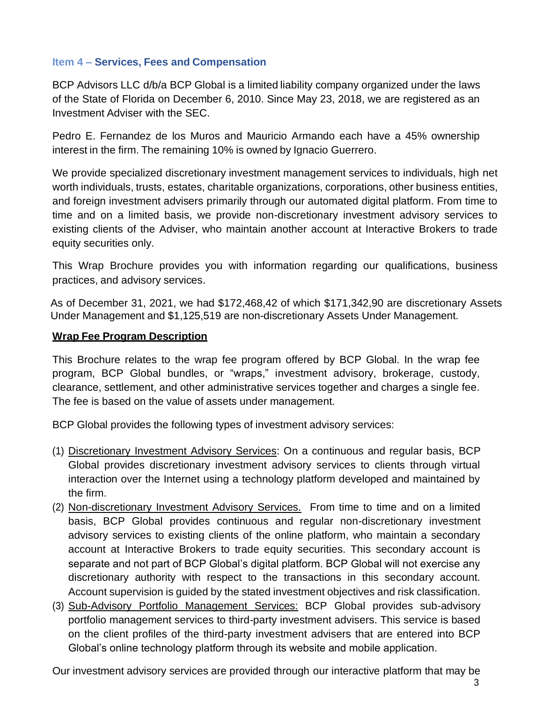#### <span id="page-3-0"></span>**Item 4 – Services, Fees and Compensation**

BCP Advisors LLC d/b/a BCP Global is a limited liability company organized under the laws of the State of Florida on December 6, 2010. Since May 23, 2018, we are registered as an Investment Adviser with the SEC.

Pedro E. Fernandez de los Muros and Mauricio Armando each have a 45% ownership interest in the firm. The remaining 10% is owned by Ignacio Guerrero.

We provide specialized discretionary investment management services to individuals, high net worth individuals, trusts, estates, charitable organizations, corporations, other business entities, and foreign investment advisers primarily through our automated digital platform. From time to time and on a limited basis, we provide non-discretionary investment advisory services to existing clients of the Adviser, who maintain another account at Interactive Brokers to trade equity securities only.

This Wrap Brochure provides you with information regarding our qualifications, business practices, and advisory services.

As of December 31, 2021, we had \$172,468,42 of which \$171,342,90 are discretionary Assets Under Management and \$1,125,519 are non-discretionary Assets Under Management.

#### <span id="page-3-1"></span>**Wrap Fee Program Description**

This Brochure relates to the wrap fee program offered by BCP Global. In the wrap fee program, BCP Global bundles, or "wraps," investment advisory, brokerage, custody, clearance, settlement, and other administrative services together and charges a single fee. The fee is based on the value of assets under management.

BCP Global provides the following types of investment advisory services:

- (1) Discretionary Investment Advisory Services: On a continuous and regular basis, BCP Global provides discretionary investment advisory services to clients through virtual interaction over the Internet using a technology platform developed and maintained by the firm.
- (2) Non-discretionary Investment Advisory Services. From time to time and on a limited basis, BCP Global provides continuous and regular non-discretionary investment advisory services to existing clients of the online platform, who maintain a secondary account at Interactive Brokers to trade equity securities. This secondary account is separate and not part of BCP Global's digital platform. BCP Global will not exercise any discretionary authority with respect to the transactions in this secondary account. Account supervision is guided by the stated investment objectives and risk classification.
- (3) Sub-Advisory Portfolio Management Services: BCP Global provides sub-advisory portfolio management services to third-party investment advisers. This service is based on the client profiles of the third-party investment advisers that are entered into BCP Global's online technology platform through its website and mobile application.

Our investment advisory services are provided through our interactive platform that may be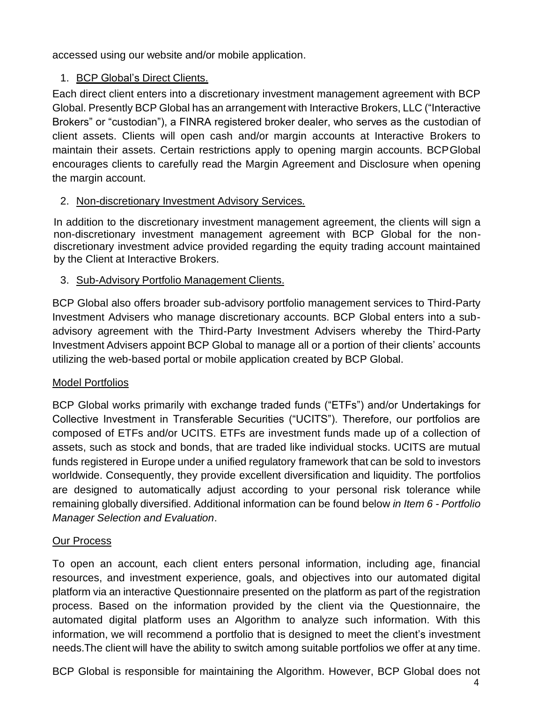accessed using our website and/or mobile application.

## 1. BCP Global's Direct Clients.

Each direct client enters into a discretionary investment management agreement with BCP Global. Presently BCP Global has an arrangement with Interactive Brokers, LLC ("Interactive Brokers" or "custodian"), a FINRA registered broker dealer, who serves as the custodian of client assets. Clients will open cash and/or margin accounts at Interactive Brokers to maintain their assets. Certain restrictions apply to opening margin accounts. BCPGlobal encourages clients to carefully read the Margin Agreement and Disclosure when opening the margin account.

## 2. Non-discretionary Investment Advisory Services.

In addition to the discretionary investment management agreement, the clients will sign a non-discretionary investment management agreement with BCP Global for the nondiscretionary investment advice provided regarding the equity trading account maintained by the Client at Interactive Brokers.

## 3. Sub-Advisory Portfolio Management Clients.

BCP Global also offers broader sub-advisory portfolio management services to Third-Party Investment Advisers who manage discretionary accounts. BCP Global enters into a subadvisory agreement with the Third-Party Investment Advisers whereby the Third-Party Investment Advisers appoint BCP Global to manage all or a portion of their clients' accounts utilizing the web-based portal or mobile application created by BCP Global.

## Model Portfolios

BCP Global works primarily with exchange traded funds ("ETFs") and/or Undertakings for Collective Investment in Transferable Securities ("UCITS"). Therefore, our portfolios are composed of ETFs and/or UCITS. ETFs are investment funds made up of a collection of assets, such as stock and bonds, that are traded like individual stocks. UCITS are mutual funds registered in Europe under a unified regulatory framework that can be sold to investors worldwide. Consequently, they provide excellent diversification and liquidity. The portfolios are designed to automatically adjust according to your personal risk tolerance while remaining globally diversified. Additional information can be found below *in Item 6 - Portfolio Manager Selection and Evaluation*.

## Our Process

To open an account, each client enters personal information, including age, financial resources, and investment experience, goals, and objectives into our automated digital platform via an interactive Questionnaire presented on the platform as part of the registration process. Based on the information provided by the client via the Questionnaire, the automated digital platform uses an Algorithm to analyze such information. With this information, we will recommend a portfolio that is designed to meet the client's investment needs.The client will have the ability to switch among suitable portfolios we offer at any time.

BCP Global is responsible for maintaining the Algorithm. However, BCP Global does not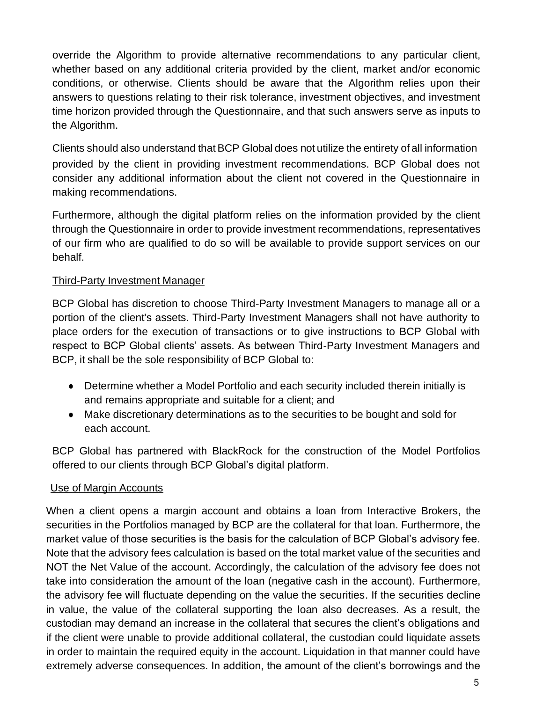override the Algorithm to provide alternative recommendations to any particular client, whether based on any additional criteria provided by the client, market and/or economic conditions, or otherwise. Clients should be aware that the Algorithm relies upon their answers to questions relating to their risk tolerance, investment objectives, and investment time horizon provided through the Questionnaire, and that such answers serve as inputs to the Algorithm.

Clients should also understand thatBCP Global does not utilize the entirety of all information provided by the client in providing investment recommendations. BCP Global does not consider any additional information about the client not covered in the Questionnaire in making recommendations.

Furthermore, although the digital platform relies on the information provided by the client through the Questionnaire in order to provide investment recommendations, representatives of our firm who are qualified to do so will be available to provide support services on our behalf.

## Third-Party Investment Manager

BCP Global has discretion to choose Third-Party Investment Managers to manage all or a portion of the client's assets. Third-Party Investment Managers shall not have authority to place orders for the execution of transactions or to give instructions to BCP Global with respect to BCP Global clients' assets. As between Third-Party Investment Managers and BCP, it shall be the sole responsibility of BCP Global to:

- Determine whether a Model Portfolio and each security included therein initially is and remains appropriate and suitable for a client; and
- Make discretionary determinations as to the securities to be bought and sold for each account.

BCP Global has partnered with BlackRock for the construction of the Model Portfolios offered to our clients through BCP Global's digital platform.

#### Use of Margin Accounts

When a client opens a margin account and obtains a loan from Interactive Brokers, the securities in the Portfolios managed by BCP are the collateral for that loan. Furthermore, the market value of those securities is the basis for the calculation of BCP Global's advisory fee. Note that the advisory fees calculation is based on the total market value of the securities and NOT the Net Value of the account. Accordingly, the calculation of the advisory fee does not take into consideration the amount of the loan (negative cash in the account). Furthermore, the advisory fee will fluctuate depending on the value the securities. If the securities decline in value, the value of the collateral supporting the loan also decreases. As a result, the custodian may demand an increase in the collateral that secures the client's obligations and if the client were unable to provide additional collateral, the custodian could liquidate assets in order to maintain the required equity in the account. Liquidation in that manner could have extremely adverse consequences. In addition, the amount of the client's borrowings and the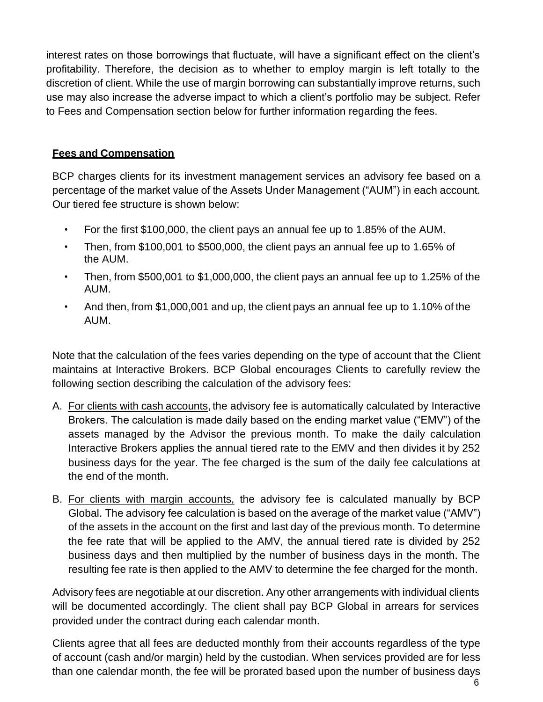interest rates on those borrowings that fluctuate, will have a significant effect on the client's profitability. Therefore, the decision as to whether to employ margin is left totally to the discretion of client. While the use of margin borrowing can substantially improve returns, such use may also increase the adverse impact to which a client's portfolio may be subject. Refer to Fees and Compensation section below for further information regarding the fees.

## <span id="page-6-0"></span>**Fees and Compensation**

BCP charges clients for its investment management services an advisory fee based on a percentage of the market value of the Assets Under Management ("AUM") in each account. Our tiered fee structure is shown below:

- For the first \$100,000, the client pays an annual fee up to 1.85% of the AUM.
- Then, from \$100,001 to \$500,000, the client pays an annual fee up to 1.65% of the AUM.
- Then, from \$500,001 to \$1,000,000, the client pays an annual fee up to 1.25% of the AUM.
- And then, from \$1,000,001 and up, the client pays an annual fee up to 1.10% of the AUM.

Note that the calculation of the fees varies depending on the type of account that the Client maintains at Interactive Brokers. BCP Global encourages Clients to carefully review the following section describing the calculation of the advisory fees:

- A. For clients with cash accounts, the advisory fee is automatically calculated by Interactive Brokers. The calculation is made daily based on the ending market value ("EMV") of the assets managed by the Advisor the previous month. To make the daily calculation Interactive Brokers applies the annual tiered rate to the EMV and then divides it by 252 business days for the year. The fee charged is the sum of the daily fee calculations at the end of the month.
- B. For clients with margin accounts, the advisory fee is calculated manually by BCP Global. The advisory fee calculation is based on the average of the market value ("AMV") of the assets in the account on the first and last day of the previous month. To determine the fee rate that will be applied to the AMV, the annual tiered rate is divided by 252 business days and then multiplied by the number of business days in the month. The resulting fee rate is then applied to the AMV to determine the fee charged for the month.

Advisory fees are negotiable at our discretion. Any other arrangements with individual clients will be documented accordingly. The client shall pay BCP Global in arrears for services provided under the contract during each calendar month.

Clients agree that all fees are deducted monthly from their accounts regardless of the type of account (cash and/or margin) held by the custodian. When services provided are for less than one calendar month, the fee will be prorated based upon the number of business days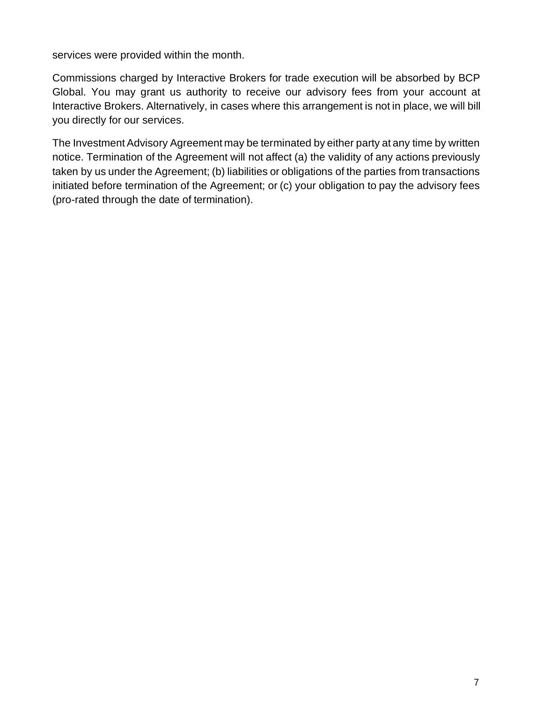services were provided within the month.

Commissions charged by Interactive Brokers for trade execution will be absorbed by BCP Global. You may grant us authority to receive our advisory fees from your account at Interactive Brokers. Alternatively, in cases where this arrangement is not in place, we will bill you directly for our services.

The Investment Advisory Agreement may be terminated by either party at any time by written notice. Termination of the Agreement will not affect (a) the validity of any actions previously taken by us under the Agreement; (b) liabilities or obligations of the parties from transactions initiated before termination of the Agreement; or (c) your obligation to pay the advisory fees (pro-rated through the date of termination).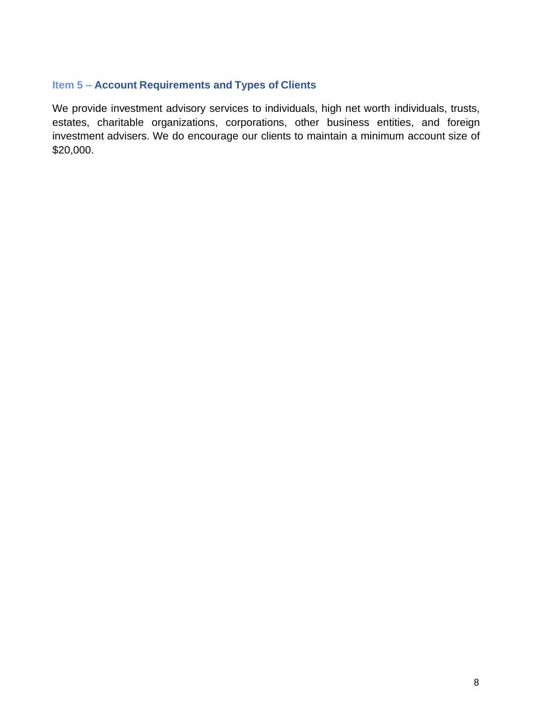## <span id="page-8-0"></span>**Item 5 – Account Requirements and Types of Clients**

We provide investment advisory services to individuals, high net worth individuals, trusts, estates, charitable organizations, corporations, other business entities, and foreign investment advisers. We do encourage our clients to maintain a minimum account size of \$20,000.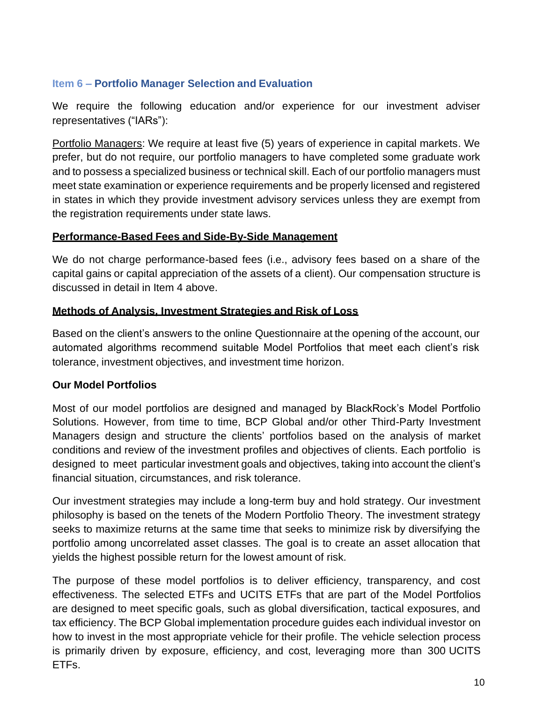## <span id="page-9-0"></span>**Item 6 – Portfolio Manager Selection and Evaluation**

We require the following education and/or experience for our investment adviser representatives ("IARs"):

Portfolio Managers: We require at least five (5) years of experience in capital markets. We prefer, but do not require, our portfolio managers to have completed some graduate work and to possess a specialized business or technical skill. Each of our portfolio managers must meet state examination or experience requirements and be properly licensed and registered in states in which they provide investment advisory services unless they are exempt from the registration requirements under state laws.

#### <span id="page-9-1"></span>**Performance-Based Fees and Side-By-Side Management**

We do not charge performance-based fees (i.e., advisory fees based on a share of the capital gains or capital appreciation of the assets of a client). Our compensation structure is discussed in detail in Item 4 above.

## <span id="page-9-2"></span>**Methods of Analysis, Investment Strategies and Risk of Loss**

Based on the client's answers to the online Questionnaire at the opening of the account, our automated algorithms recommend suitable Model Portfolios that meet each client's risk tolerance, investment objectives, and investment time horizon.

## <span id="page-9-3"></span>**Our Model Portfolios**

Most of our model portfolios are designed and managed by BlackRock's Model Portfolio Solutions. However, from time to time, BCP Global and/or other Third-Party Investment Managers design and structure the clients' portfolios based on the analysis of market conditions and review of the investment profiles and objectives of clients. Each portfolio is designed to meet particular investment goals and objectives, taking into account the client's financial situation, circumstances, and risk tolerance.

Our investment strategies may include a long-term buy and hold strategy. Our investment philosophy is based on the tenets of the Modern Portfolio Theory. The investment strategy seeks to maximize returns at the same time that seeks to minimize risk by diversifying the portfolio among uncorrelated asset classes. The goal is to create an asset allocation that yields the highest possible return for the lowest amount of risk.

The purpose of these model portfolios is to deliver efficiency, transparency, and cost effectiveness. The selected ETFs and UCITS ETFs that are part of the Model Portfolios are designed to meet specific goals, such as global diversification, tactical exposures, and tax efficiency. The BCP Global implementation procedure guides each individual investor on how to invest in the most appropriate vehicle for their profile. The vehicle selection process is primarily driven by exposure, efficiency, and cost, leveraging more than 300 UCITS ETFs.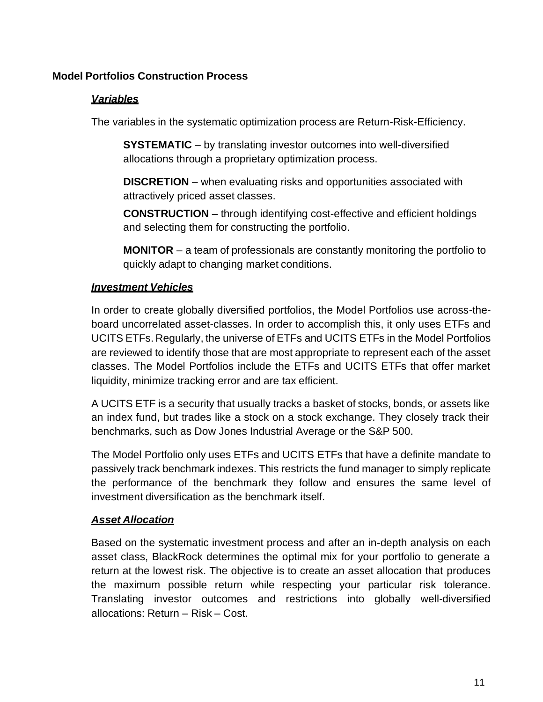## <span id="page-10-0"></span>**Model Portfolios Construction Process**

#### *Variables*

The variables in the systematic optimization process are Return-Risk-Efficiency.

**SYSTEMATIC** – by translating investor outcomes into well-diversified allocations through a proprietary optimization process.

**DISCRETION** – when evaluating risks and opportunities associated with attractively priced asset classes.

**CONSTRUCTION** – through identifying cost-effective and efficient holdings and selecting them for constructing the portfolio.

**MONITOR** – a team of professionals are constantly monitoring the portfolio to quickly adapt to changing market conditions.

#### *Investment Vehicles*

In order to create globally diversified portfolios, the Model Portfolios use across-theboard uncorrelated asset-classes. In order to accomplish this, it only uses ETFs and UCITS ETFs. Regularly, the universe of ETFs and UCITS ETFs in the Model Portfolios are reviewed to identify those that are most appropriate to represent each of the asset classes. The Model Portfolios include the ETFs and UCITS ETFs that offer market liquidity, minimize tracking error and are tax efficient.

A UCITS ETF is a security that usually tracks a basket of stocks, bonds, or assets like an index fund, but trades like a stock on a stock exchange. They closely track their benchmarks, such as Dow Jones Industrial Average or the S&P 500.

The Model Portfolio only uses ETFs and UCITS ETFs that have a definite mandate to passively track benchmark indexes. This restricts the fund manager to simply replicate the performance of the benchmark they follow and ensures the same level of investment diversification as the benchmark itself.

#### *Asset Allocation*

Based on the systematic investment process and after an in-depth analysis on each asset class, BlackRock determines the optimal mix for your portfolio to generate a return at the lowest risk. The objective is to create an asset allocation that produces the maximum possible return while respecting your particular risk tolerance. Translating investor outcomes and restrictions into globally well-diversified allocations: Return – Risk – Cost.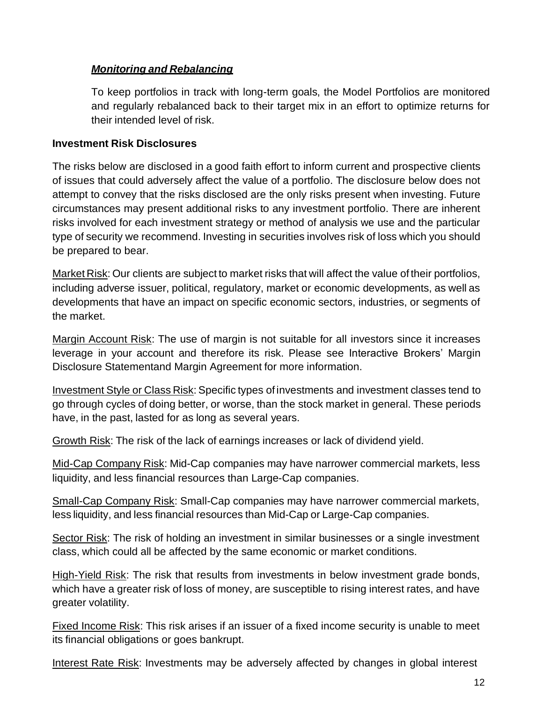## *Monitoring and Rebalancing*

To keep portfolios in track with long-term goals, the Model Portfolios are monitored and regularly rebalanced back to their target mix in an effort to optimize returns for their intended level of risk.

#### <span id="page-11-0"></span>**Investment Risk Disclosures**

The risks below are disclosed in a good faith effort to inform current and prospective clients of issues that could adversely affect the value of a portfolio. The disclosure below does not attempt to convey that the risks disclosed are the only risks present when investing. Future circumstances may present additional risks to any investment portfolio. There are inherent risks involved for each investment strategy or method of analysis we use and the particular type of security we recommend. Investing in securities involves risk of loss which you should be prepared to bear.

Market Risk: Our clients are subject to market risks that will affect the value of their portfolios, including adverse issuer, political, regulatory, market or economic developments, as well as developments that have an impact on specific economic sectors, industries, or segments of the market.

Margin Account Risk: The use of margin is not suitable for all investors since it increases leverage in your account and therefore its risk. Please see Interactive Brokers' Margin Disclosure Statementand Margin Agreement for more information.

Investment Style or Class Risk: Specific types ofinvestments and investment classes tend to go through cycles of doing better, or worse, than the stock market in general. These periods have, in the past, lasted for as long as several years.

Growth Risk: The risk of the lack of earnings increases or lack of dividend yield.

Mid-Cap Company Risk: Mid-Cap companies may have narrower commercial markets, less liquidity, and less financial resources than Large-Cap companies.

Small-Cap Company Risk: Small-Cap companies may have narrower commercial markets, less liquidity, and less financial resources than Mid-Cap or Large-Cap companies.

Sector Risk: The risk of holding an investment in similar businesses or a single investment class, which could all be affected by the same economic or market conditions.

High-Yield Risk: The risk that results from investments in below investment grade bonds, which have a greater risk of loss of money, are susceptible to rising interest rates, and have greater volatility.

Fixed Income Risk: This risk arises if an issuer of a fixed income security is unable to meet its financial obligations or goes bankrupt.

Interest Rate Risk: Investments may be adversely affected by changes in global interest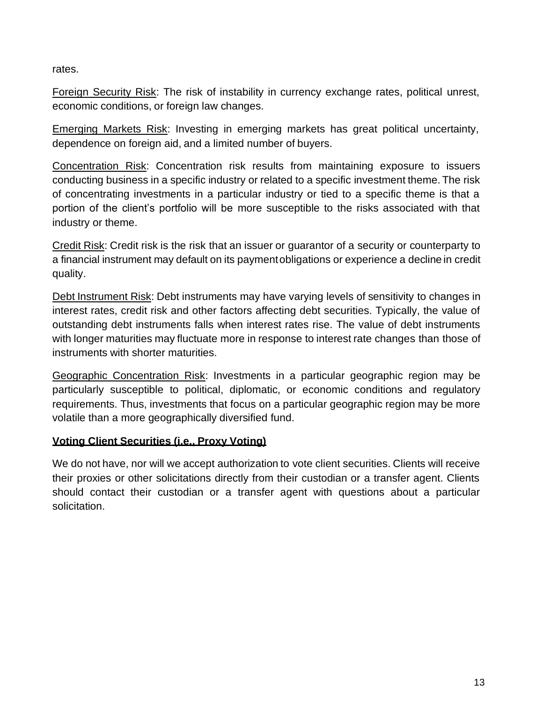rates.

Foreign Security Risk: The risk of instability in currency exchange rates, political unrest, economic conditions, or foreign law changes.

Emerging Markets Risk: Investing in emerging markets has great political uncertainty, dependence on foreign aid, and a limited number of buyers.

Concentration Risk: Concentration risk results from maintaining exposure to issuers conducting business in a specific industry or related to a specific investment theme. The risk of concentrating investments in a particular industry or tied to a specific theme is that a portion of the client's portfolio will be more susceptible to the risks associated with that industry or theme.

Credit Risk: Credit risk is the risk that an issuer or guarantor of a security or counterparty to a financial instrument may default on its paymentobligations or experience a decline in credit quality.

Debt Instrument Risk: Debt instruments may have varying levels of sensitivity to changes in interest rates, credit risk and other factors affecting debt securities. Typically, the value of outstanding debt instruments falls when interest rates rise. The value of debt instruments with longer maturities may fluctuate more in response to interest rate changes than those of instruments with shorter maturities.

Geographic Concentration Risk: Investments in a particular geographic region may be particularly susceptible to political, diplomatic, or economic conditions and regulatory requirements. Thus, investments that focus on a particular geographic region may be more volatile than a more geographically diversified fund.

## <span id="page-12-0"></span>**Voting Client Securities (i.e., Proxy Voting)**

We do not have, nor will we accept authorization to vote client securities. Clients will receive their proxies or other solicitations directly from their custodian or a transfer agent. Clients should contact their custodian or a transfer agent with questions about a particular solicitation.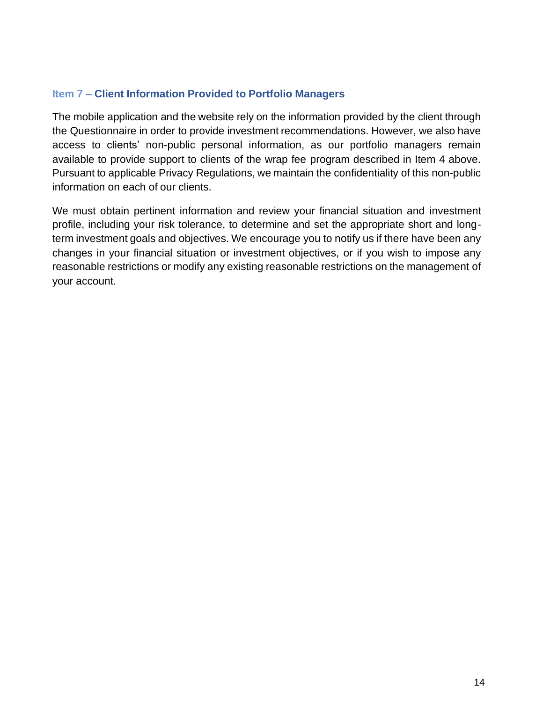### <span id="page-13-0"></span>**Item 7 – Client Information Provided to Portfolio Managers**

The mobile application and the website rely on the information provided by the client through the Questionnaire in order to provide investment recommendations. However, we also have access to clients' non-public personal information, as our portfolio managers remain available to provide support to clients of the wrap fee program described in Item 4 above. Pursuant to applicable Privacy Regulations, we maintain the confidentiality of this non-public information on each of our clients.

We must obtain pertinent information and review your financial situation and investment profile, including your risk tolerance, to determine and set the appropriate short and longterm investment goals and objectives. We encourage you to notify us if there have been any changes in your financial situation or investment objectives, or if you wish to impose any reasonable restrictions or modify any existing reasonable restrictions on the management of your account.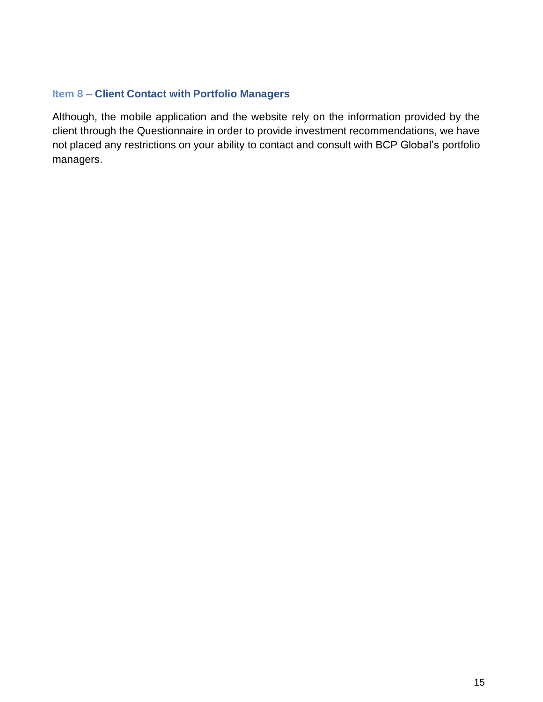## <span id="page-14-0"></span>**Item 8 – Client Contact with Portfolio Managers**

Although, the mobile application and the website rely on the information provided by the client through the Questionnaire in order to provide investment recommendations, we have not placed any restrictions on your ability to contact and consult with BCP Global's portfolio managers.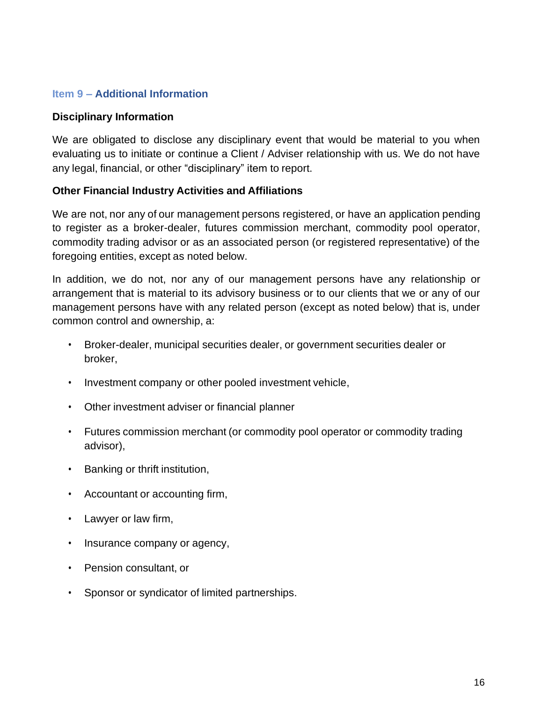#### <span id="page-15-0"></span>**Item 9 – Additional Information**

#### <span id="page-15-1"></span>**Disciplinary Information**

We are obligated to disclose any disciplinary event that would be material to you when evaluating us to initiate or continue a Client / Adviser relationship with us. We do not have any legal, financial, or other "disciplinary" item to report.

#### <span id="page-15-2"></span>**Other Financial Industry Activities and Affiliations**

We are not, nor any of our management persons registered, or have an application pending to register as a broker-dealer, futures commission merchant, commodity pool operator, commodity trading advisor or as an associated person (or registered representative) of the foregoing entities, except as noted below.

In addition, we do not, nor any of our management persons have any relationship or arrangement that is material to its advisory business or to our clients that we or any of our management persons have with any related person (except as noted below) that is, under common control and ownership, a:

- Broker-dealer, municipal securities dealer, or government securities dealer or broker,
- Investment company or other pooled investment vehicle,
- Other investment adviser or financial planner
- Futures commission merchant (or commodity pool operator or commodity trading advisor),
- Banking or thrift institution,
- Accountant or accounting firm,
- Lawyer or law firm,
- Insurance company or agency,
- Pension consultant, or
- Sponsor or syndicator of limited partnerships.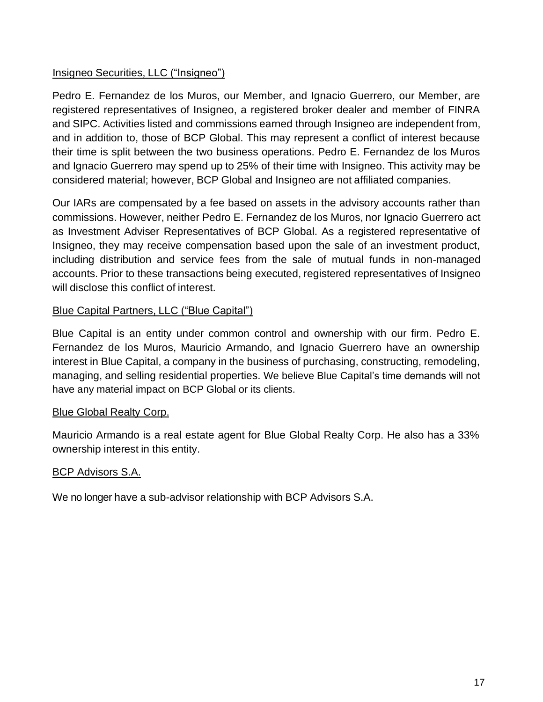## Insigneo Securities, LLC ("Insigneo")

Pedro E. Fernandez de los Muros, our Member, and Ignacio Guerrero, our Member, are registered representatives of Insigneo, a registered broker dealer and member of FINRA and SIPC. Activities listed and commissions earned through Insigneo are independent from, and in addition to, those of BCP Global. This may represent a conflict of interest because their time is split between the two business operations. Pedro E. Fernandez de los Muros and Ignacio Guerrero may spend up to 25% of their time with Insigneo. This activity may be considered material; however, BCP Global and Insigneo are not affiliated companies.

Our IARs are compensated by a fee based on assets in the advisory accounts rather than commissions. However, neither Pedro E. Fernandez de los Muros, nor Ignacio Guerrero act as Investment Adviser Representatives of BCP Global. As a registered representative of Insigneo, they may receive compensation based upon the sale of an investment product, including distribution and service fees from the sale of mutual funds in non-managed accounts. Prior to these transactions being executed, registered representatives of Insigneo will disclose this conflict of interest.

## Blue Capital Partners, LLC ("Blue Capital")

Blue Capital is an entity under common control and ownership with our firm. Pedro E. Fernandez de los Muros, Mauricio Armando, and Ignacio Guerrero have an ownership interest in Blue Capital, a company in the business of purchasing, constructing, remodeling, managing, and selling residential properties. We believe Blue Capital's time demands will not have any material impact on BCP Global or its clients.

## Blue Global Realty Corp.

Mauricio Armando is a real estate agent for Blue Global Realty Corp. He also has a 33% ownership interest in this entity.

## BCP Advisors S.A.

<span id="page-16-0"></span>We no longer have a sub-advisor relationship with BCP Advisors S.A.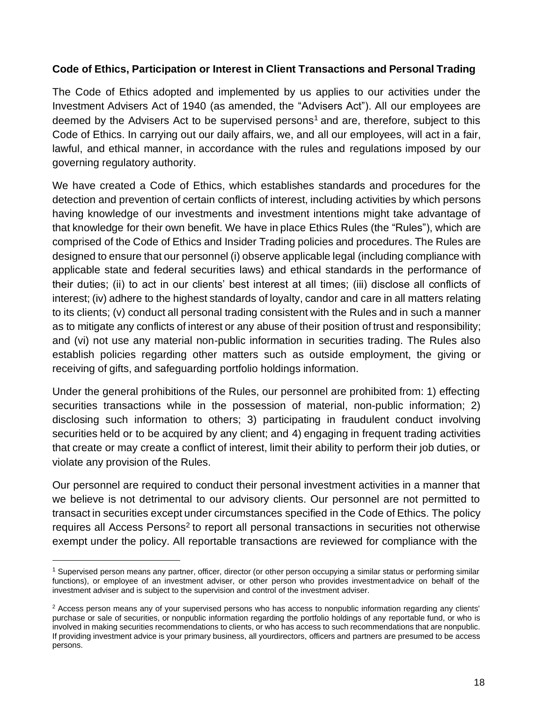## **Code of Ethics, Participation or Interest in Client Transactions and Personal Trading**

The Code of Ethics adopted and implemented by us applies to our activities under the Investment Advisers Act of 1940 (as amended, the "Advisers Act"). All our employees are deemed by the Advisers Act to be supervised persons<sup>1</sup> and are, therefore, subject to this Code of Ethics. In carrying out our daily affairs, we, and all our employees, will act in a fair, lawful, and ethical manner, in accordance with the rules and regulations imposed by our governing regulatory authority.

We have created a Code of Ethics, which establishes standards and procedures for the detection and prevention of certain conflicts of interest, including activities by which persons having knowledge of our investments and investment intentions might take advantage of that knowledge for their own benefit. We have in place Ethics Rules (the "Rules"), which are comprised of the Code of Ethics and Insider Trading policies and procedures. The Rules are designed to ensure that our personnel (i) observe applicable legal (including compliance with applicable state and federal securities laws) and ethical standards in the performance of their duties; (ii) to act in our clients' best interest at all times; (iii) disclose all conflicts of interest; (iv) adhere to the highest standards of loyalty, candor and care in all matters relating to its clients; (v) conduct all personal trading consistent with the Rules and in such a manner as to mitigate any conflicts of interest or any abuse of their position of trust and responsibility; and (vi) not use any material non-public information in securities trading. The Rules also establish policies regarding other matters such as outside employment, the giving or receiving of gifts, and safeguarding portfolio holdings information.

Under the general prohibitions of the Rules, our personnel are prohibited from: 1) effecting securities transactions while in the possession of material, non-public information; 2) disclosing such information to others; 3) participating in fraudulent conduct involving securities held or to be acquired by any client; and 4) engaging in frequent trading activities that create or may create a conflict of interest, limit their ability to perform their job duties, or violate any provision of the Rules.

Our personnel are required to conduct their personal investment activities in a manner that we believe is not detrimental to our advisory clients. Our personnel are not permitted to transact in securities except under circumstances specified in the Code of Ethics. The policy requires all Access Persons<sup>2</sup> to report all personal transactions in securities not otherwise exempt under the policy. All reportable transactions are reviewed for compliance with the

 $1$  Supervised person means any partner, officer, director (or other person occupying a similar status or performing similar functions), or employee of an investment adviser, or other person who provides investmentadvice on behalf of the investment adviser and is subject to the supervision and control of the investment adviser.

<sup>&</sup>lt;sup>2</sup> Access person means any of your supervised persons who has access to nonpublic information regarding any clients' purchase or sale of securities, or nonpublic information regarding the portfolio holdings of any reportable fund, or who is involved in making securities recommendations to clients, or who has access to such recommendations that are nonpublic. If providing investment advice is your primary business, all yourdirectors, officers and partners are presumed to be access persons.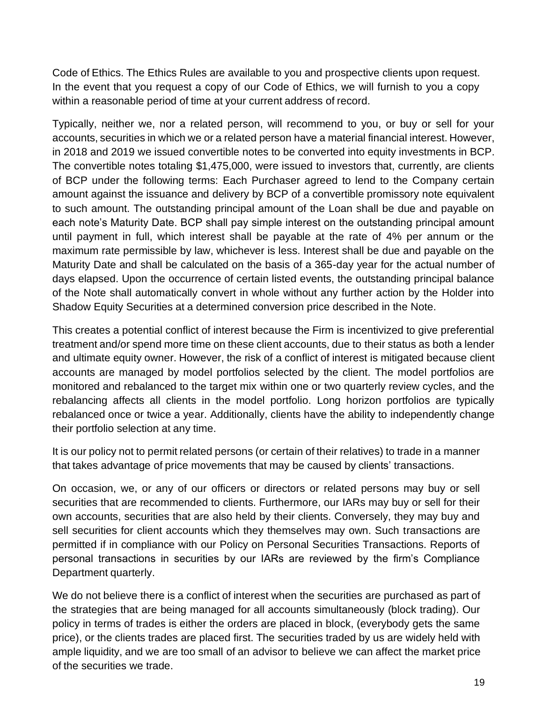Code of Ethics. The Ethics Rules are available to you and prospective clients upon request. In the event that you request a copy of our Code of Ethics, we will furnish to you a copy within a reasonable period of time at your current address of record.

Typically, neither we, nor a related person, will recommend to you, or buy or sell for your accounts, securities in which we or a related person have a material financial interest. However, in 2018 and 2019 we issued convertible notes to be converted into equity investments in BCP. The convertible notes totaling \$1,475,000, were issued to investors that, currently, are clients of BCP under the following terms: Each Purchaser agreed to lend to the Company certain amount against the issuance and delivery by BCP of a convertible promissory note equivalent to such amount. The outstanding principal amount of the Loan shall be due and payable on each note's Maturity Date. BCP shall pay simple interest on the outstanding principal amount until payment in full, which interest shall be payable at the rate of 4% per annum or the maximum rate permissible by law, whichever is less. Interest shall be due and payable on the Maturity Date and shall be calculated on the basis of a 365-day year for the actual number of days elapsed. Upon the occurrence of certain listed events, the outstanding principal balance of the Note shall automatically convert in whole without any further action by the Holder into Shadow Equity Securities at a determined conversion price described in the Note.

This creates a potential conflict of interest because the Firm is incentivized to give preferential treatment and/or spend more time on these client accounts, due to their status as both a lender and ultimate equity owner. However, the risk of a conflict of interest is mitigated because client accounts are managed by model portfolios selected by the client. The model portfolios are monitored and rebalanced to the target mix within one or two quarterly review cycles, and the rebalancing affects all clients in the model portfolio. Long horizon portfolios are typically rebalanced once or twice a year. Additionally, clients have the ability to independently change their portfolio selection at any time.

It is our policy not to permit related persons (or certain of their relatives) to trade in a manner that takes advantage of price movements that may be caused by clients' transactions.

On occasion, we, or any of our officers or directors or related persons may buy or sell securities that are recommended to clients. Furthermore, our IARs may buy or sell for their own accounts, securities that are also held by their clients. Conversely, they may buy and sell securities for client accounts which they themselves may own. Such transactions are permitted if in compliance with our Policy on Personal Securities Transactions. Reports of personal transactions in securities by our IARs are reviewed by the firm's Compliance Department quarterly.

We do not believe there is a conflict of interest when the securities are purchased as part of the strategies that are being managed for all accounts simultaneously (block trading). Our policy in terms of trades is either the orders are placed in block, (everybody gets the same price), or the clients trades are placed first. The securities traded by us are widely held with ample liquidity, and we are too small of an advisor to believe we can affect the market price of the securities we trade.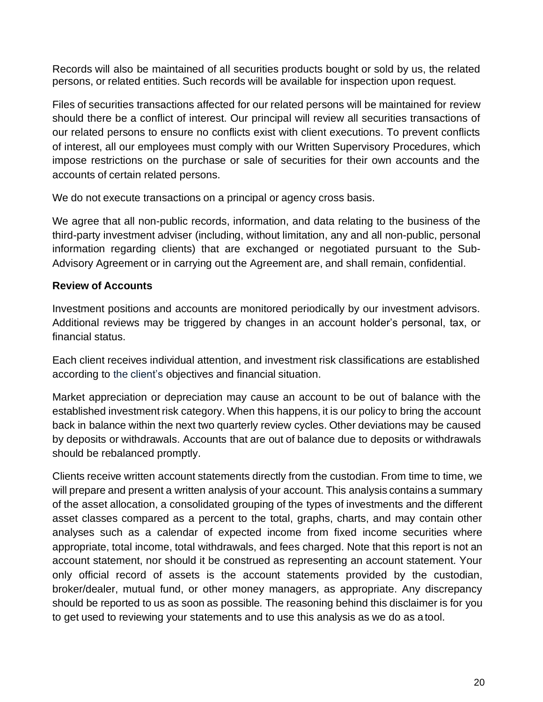Records will also be maintained of all securities products bought or sold by us, the related persons, or related entities. Such records will be available for inspection upon request.

Files of securities transactions affected for our related persons will be maintained for review should there be a conflict of interest. Our principal will review all securities transactions of our related persons to ensure no conflicts exist with client executions. To prevent conflicts of interest, all our employees must comply with our Written Supervisory Procedures, which impose restrictions on the purchase or sale of securities for their own accounts and the accounts of certain related persons.

We do not execute transactions on a principal or agency cross basis.

We agree that all non-public records, information, and data relating to the business of the third-party investment adviser (including, without limitation, any and all non-public, personal information regarding clients) that are exchanged or negotiated pursuant to the Sub-Advisory Agreement or in carrying out the Agreement are, and shall remain, confidential.

## <span id="page-19-0"></span>**Review of Accounts**

Investment positions and accounts are monitored periodically by our investment advisors. Additional reviews may be triggered by changes in an account holder's personal, tax, or financial status.

Each client receives individual attention, and investment risk classifications are established according to the client's objectives and financial situation.

Market appreciation or depreciation may cause an account to be out of balance with the established investment risk category. When this happens, it is our policy to bring the account back in balance within the next two quarterly review cycles. Other deviations may be caused by deposits or withdrawals. Accounts that are out of balance due to deposits or withdrawals should be rebalanced promptly.

Clients receive written account statements directly from the custodian. From time to time, we will prepare and present a written analysis of your account. This analysis contains a summary of the asset allocation, a consolidated grouping of the types of investments and the different asset classes compared as a percent to the total, graphs, charts, and may contain other analyses such as a calendar of expected income from fixed income securities where appropriate, total income, total withdrawals, and fees charged. Note that this report is not an account statement, nor should it be construed as representing an account statement. Your only official record of assets is the account statements provided by the custodian, broker/dealer, mutual fund, or other money managers, as appropriate. Any discrepancy should be reported to us as soon as possible*.* The reasoning behind this disclaimer is for you to get used to reviewing your statements and to use this analysis as we do as atool.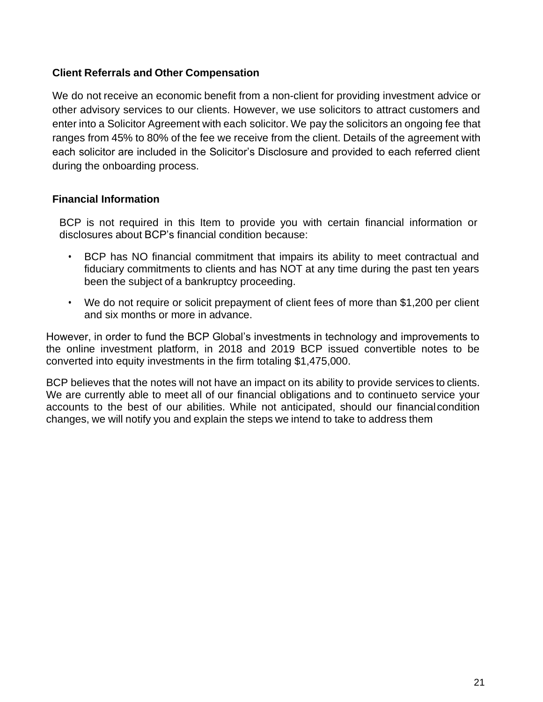## <span id="page-20-0"></span>**Client Referrals and Other Compensation**

We do not receive an economic benefit from a non-client for providing investment advice or other advisory services to our clients. However, we use solicitors to attract customers and enter into a Solicitor Agreement with each solicitor. We pay the solicitors an ongoing fee that ranges from 45% to 80% of the fee we receive from the client. Details of the agreement with each solicitor are included in the Solicitor's Disclosure and provided to each referred client during the onboarding process.

#### <span id="page-20-1"></span>**Financial Information**

BCP is not required in this Item to provide you with certain financial information or disclosures about BCP's financial condition because:

- BCP has NO financial commitment that impairs its ability to meet contractual and fiduciary commitments to clients and has NOT at any time during the past ten years been the subject of a bankruptcy proceeding.
- We do not require or solicit prepayment of client fees of more than \$1,200 per client and six months or more in advance.

However, in order to fund the BCP Global's investments in technology and improvements to the online investment platform, in 2018 and 2019 BCP issued convertible notes to be converted into equity investments in the firm totaling \$1,475,000.

BCP believes that the notes will not have an impact on its ability to provide services to clients. We are currently able to meet all of our financial obligations and to continueto service your accounts to the best of our abilities. While not anticipated, should our financialcondition changes, we will notify you and explain the steps we intend to take to address them